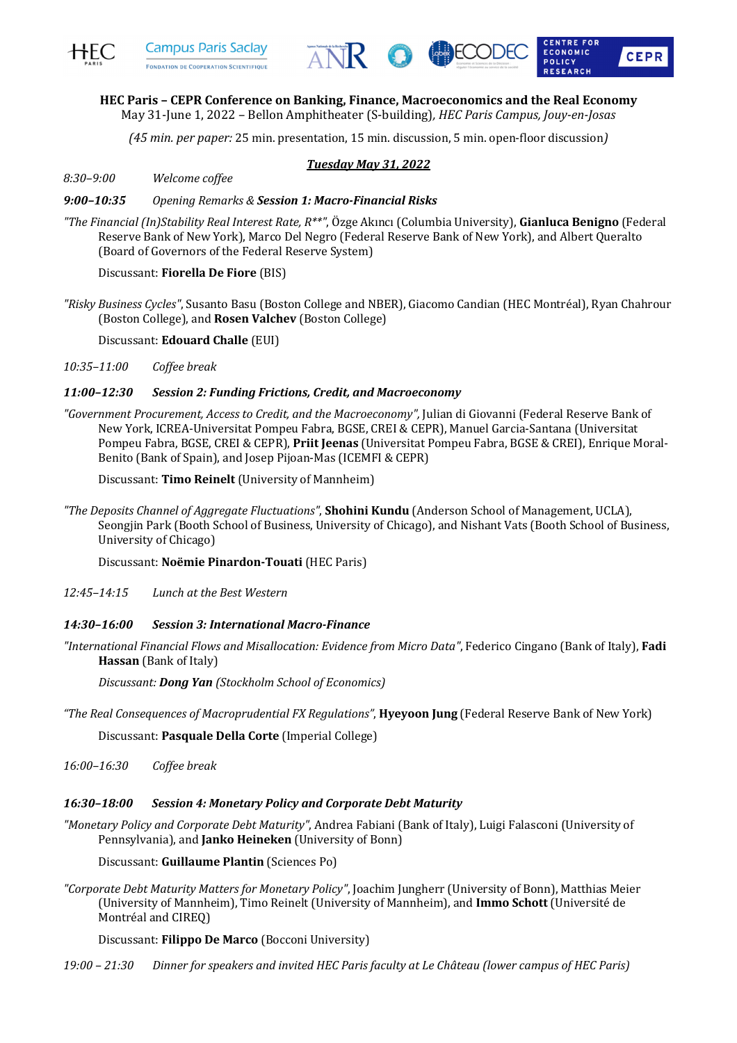





# **HEC Paris – CEPR Conference on Banking, Finance, Macroeconomics and the Real Economy**

May 31-June 1, 2022 - Bellon Amphitheater (S-building), HEC Paris Campus, Jouy-en-Josas

*(45 min. per paper:* 25 min. presentation, 15 min. discussion, 5 min. open-floor discussion*)*

## *Tuesday May 31, 2022*

*8:30–9:00 Welcome coffee*

#### *9:00–10:35 Opening Remarks & Session 1: Macro-Financial Risks*

*"The Financial (In)Stability Real Interest Rate, R\*\*"*, Özge Akıncı (Columbia University), **Gianluca Benigno** (Federal Reserve Bank of New York), Marco Del Negro (Federal Reserve Bank of New York), and Albert Queralto (Board of Governors of the Federal Reserve System)

# Discussant: **Fiorella De Fiore** (BIS)

*"Risky Business Cycles"*, Susanto Basu (Boston College and NBER), Giacomo Candian (HEC Montréal), Ryan Chahrour (Boston College), and **Rosen Valchev** (Boston College)

Discussant: **Edouard Challe** (EUI)

*10:35–11:00 Coffee break*

#### *11:00–12:30 Session 2: Funding Frictions, Credit, and Macroeconomy*

"Government Procurement, Access to Credit, and the Macroeconomy", Julian di Giovanni (Federal Reserve Bank of New York, ICREA-Universitat Pompeu Fabra, BGSE, CREI & CEPR), Manuel Garcia-Santana (Universitat Pompeu Fabra, BGSE, CREI & CEPR), Priit Jeenas (Universitat Pompeu Fabra, BGSE & CREI), Enrique Moral-Benito (Bank of Spain), and Josep Pijoan-Mas (ICEMFI & CEPR)

Discussant: Timo Reinelt (University of Mannheim)

*"The Deposits Channel of Aggregate Fluctuations"*, **Shohini Kundu** (Anderson School of Management, UCLA), Seongiin Park (Booth School of Business, University of Chicago), and Nishant Vats (Booth School of Business, University of Chicago)

Discussant: Noëmie Pinardon-Touati (HEC Paris)

*12:45–14:15 Lunch at the Best Western*

#### *14:30–16:00 Session 3: International Macro-Finance*

*"International Financial Flows and Misallocation: Evidence from Micro Data"*, Federico Cingano (Bank of Italy), **Fadi Hassan** (Bank of Italy)

*Discussant: Dong Yan (Stockholm School of Economics)*

*"The Real Consequences of Macroprudential FX Regulations"*, **Hyeyoon Jung** (Federal Reserve Bank of New York)

Discussant: **Pasquale Della Corte** (Imperial College)

*16:00–16:30 Coffee break*

#### *16:30–18:00 Session 4: Monetary Policy and Corporate Debt Maturity*

*"Monetary Policy and Corporate Debt Maturity"*, Andrea Fabiani (Bank of Italy), Luigi Falasconi (University of Pennsylvania), and **Janko Heineken** (University of Bonn)

Discussant: **Guillaume Plantin** (Sciences Po)

*"Corporate Debt Maturity Matters for Monetary Policy"*, Joachim Jungherr (University of Bonn), Matthias Meier (University of Mannheim), Timo Reinelt (University of Mannheim), and Immo Schott (Université de Montréal and CIREO)

Discussant: Filippo De Marco (Bocconi University)

19:00 – 21:30 Dinner for speakers and invited HEC Paris faculty at Le Château (lower campus of HEC Paris)